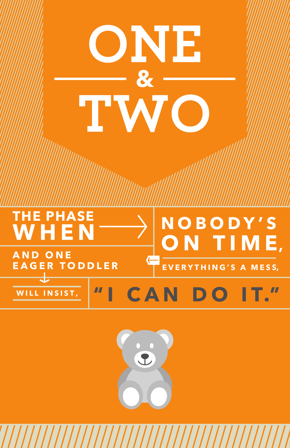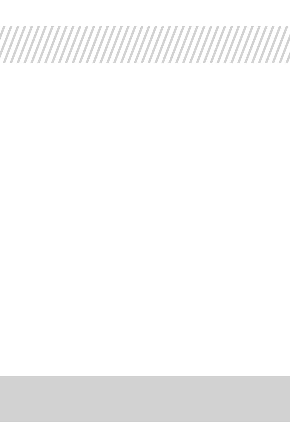##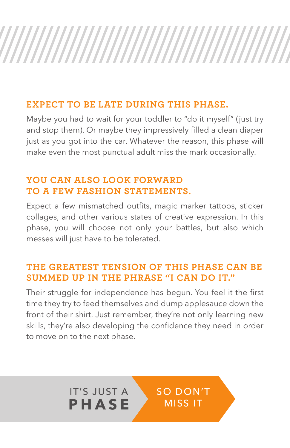#### **EXPECT TO BE LATE DURING THIS PHASE.**

Maybe you had to wait for your toddler to "do it myself" (just try and stop them). Or maybe they impressively filled a clean diaper just as you got into the car. Whatever the reason, this phase will make even the most punctual adult miss the mark occasionally.

#### **YOU CAN ALSO LOOK FORWARD TO A FEW FASHION STATEMENTS.**

IT'S JUST A **PHASE**

Expect a few mismatched outfits, magic marker tattoos, sticker collages, and other various states of creative expression. In this phase, you will choose not only your battles, but also which messes will just have to be tolerated.

#### **THE GREATEST TENSION OF THIS PHASE CAN BE SUMMED UP IN THE PHRASE "I CAN DO IT."**

Their struggle for independence has begun. You feel it the first time they try to feed themselves and dump applesauce down the front of their shirt. Just remember, they're not only learning new skills, they're also developing the confidence they need in order to move on to the next phase.

> SO DON'T MISS IT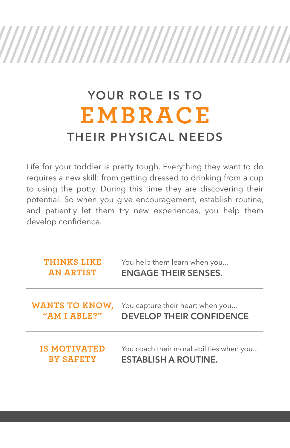# 

### **YOUR ROLE IS TO EMBRACE THEIR PHYSICAL NEEDS**

Life for your toddler is pretty tough. Everything they want to do requires a new skill: from getting dressed to drinking from a cup to using the potty. During this time they are discovering their potential. So when you give encouragement, establish routine, and patiently let them try new experiences, you help them develop confidence.

| <b>THINKS LIKE</b>    | You help them learn when you             |  |
|-----------------------|------------------------------------------|--|
| <b>AN ARTIST</b>      | <b>ENGAGE THEIR SENSES.</b>              |  |
| <b>WANTS TO KNOW,</b> | You capture their heart when you         |  |
| "AM I ABLE?"          | <b>DEVELOP THEIR CONFIDENCE</b>          |  |
| IS MOTIVATED          | You coach their moral abilities when you |  |
| <b>BY SAFETY</b>      | <b>ESTABLISH A ROUTINE.</b>              |  |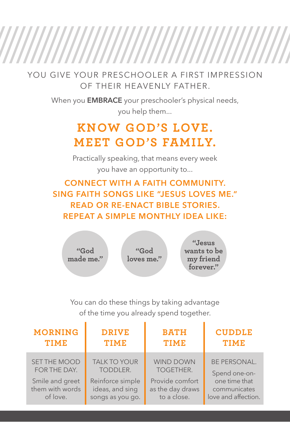YOU GIVE YOUR PRESCHOOLER A FIRST IMPRESSION OF THEIR HEAVENLY FATHER.

When you **EMBRACE** your preschooler's physical needs, you help them...

#### **KNOW GOD'S LOVE. MEET GOD'S FAMILY.**

Practically speaking, that means every week you have an opportunity to...

**CONNECT WITH A FAITH COMMUNITY. SING FAITH SONGS LIKE "JESUS LOVES ME." READ OR RE-ENACT BIBLE STORIES. REPEAT A SIMPLE MONTHLY IDEA LIKE:**



You can do these things by taking advantage of the time you already spend together.

| <b>MORNING</b>      | <b>DRIVE</b>        | <b>BATH</b>      | <b>CUDDLE</b>       |
|---------------------|---------------------|------------------|---------------------|
| <b>TIME</b>         | <b>TIME</b>         | <b>TIME</b>      | <b>TIME</b>         |
| <b>SET THE MOOD</b> | <b>TALK TO YOUR</b> | <b>WIND DOWN</b> | <b>BE PERSONAL.</b> |
| FOR THE DAY.        | TODDLER.            | TOGETHER.        | Spend one-on-       |
| Smile and greet     | Reinforce simple    | Provide comfort  | one time that       |
| them with words     | ideas, and sing     | as the day draws | communicates        |
| of love.            | songs as you go.    | to a close.      | love and affection. |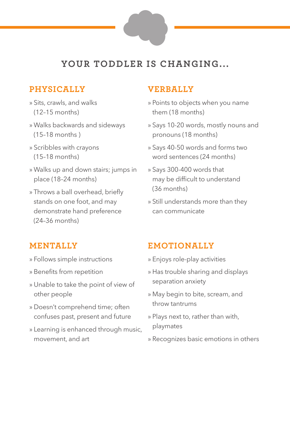#### **YOUR TODDLER IS CHANGING...**

#### **PHYSICALLY**

- » Sits, crawls, and walks (12–15 months)
- » Walks backwards and sideways (15–18 months )
- » Scribbles with crayons (15–18 months)
- » Walks up and down stairs; jumps in place (18–24 months)
- » Throws a ball overhead, briefly stands on one foot, and may demonstrate hand preference (24–36 months)

#### **VERBALLY**

- » Points to objects when you name them (18 months)
- » Says 10-20 words, mostly nouns and pronouns (18 months)
- » Says 40-50 words and forms two word sentences (24 months)
- » Says 300-400 words that may be difficult to understand (36 months)
- » Still understands more than they can communicate

#### **MENTALLY**

- » Follows simple instructions
- » Benefits from repetition
- » Unable to take the point of view of other people
- » Doesn't comprehend time; often confuses past, present and future
- » Learning is enhanced through music, movement, and art

#### **EMOTIONALLY**

- » Enjoys role-play activities
- » Has trouble sharing and displays separation anxiety
- » May begin to bite, scream, and throw tantrums
- » Plays next to, rather than with, playmates
- » Recognizes basic emotions in others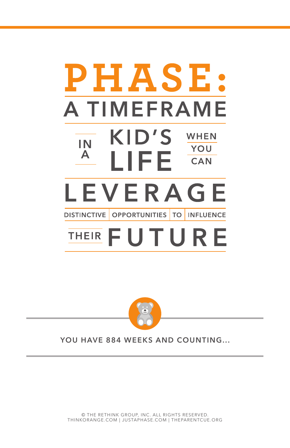### **PHASE: A TIMEFRAME** KID'S WHEN IN YOU  $\blacktriangle$ LIFE. **CAN LEVERAGE** DISTINCTIVE OPPORTUNITIES TO INFLUENCE **UT**



**YOU HAVE 884 WEEKS AND COUNTING...**

© THE RETHINK GROUP, INC. ALL RIGHTS RESERVED. THINKORANGE.COM | JUSTAPHASE.COM | THEPARENTCUE.ORG